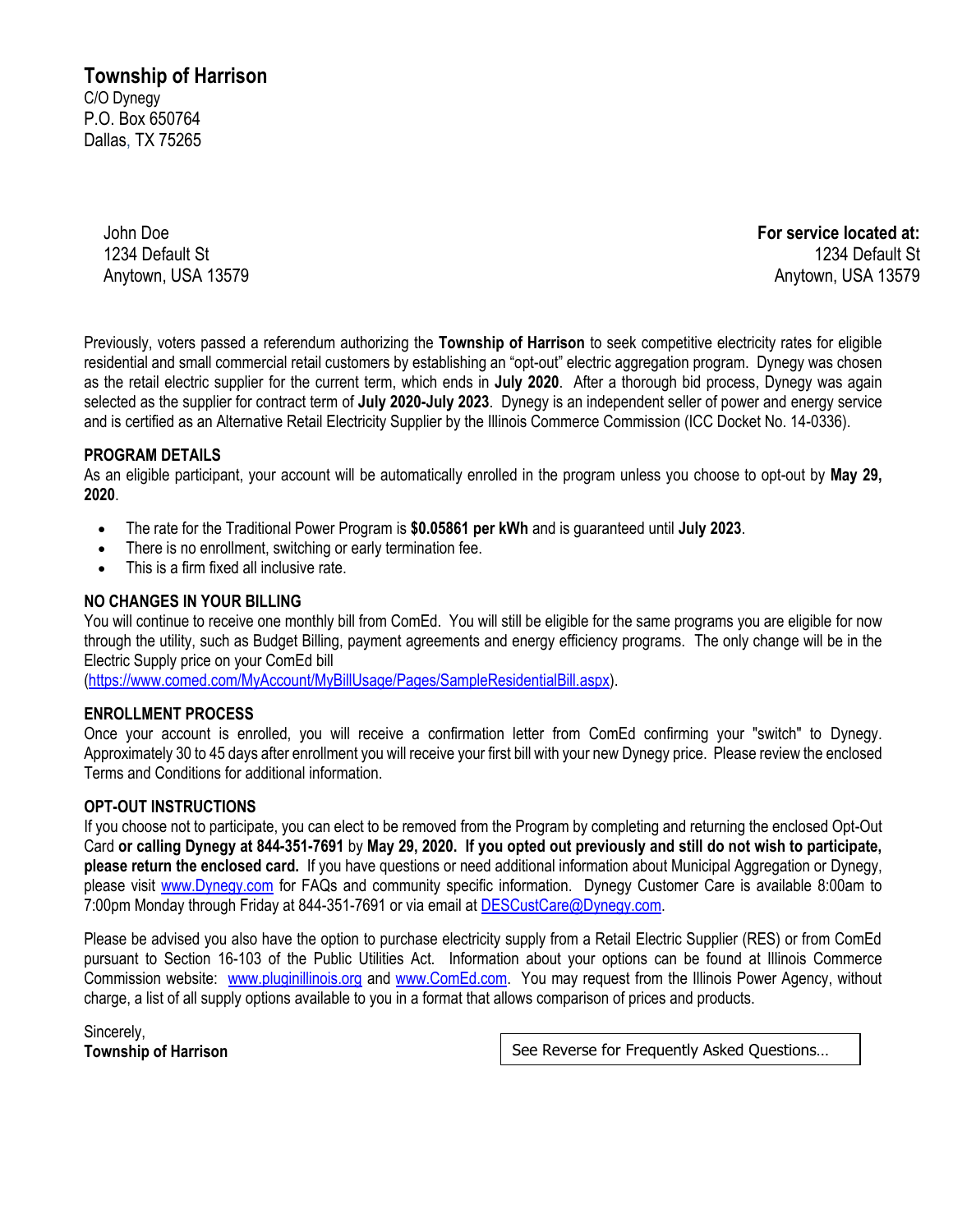**Township of Harrison** C/O Dynegy

P.O. Box 650764 Dallas, TX 75265

> John Doe 1234 Default St Anytown, USA 13579

**For service located at:**  1234 Default St Anytown, USA 13579

Previously, voters passed a referendum authorizing the **Township of Harrison** to seek competitive electricity rates for eligible residential and small commercial retail customers by establishing an "opt-out" electric aggregation program. Dynegy was chosen as the retail electric supplier for the current term, which ends in **July 2020**. After a thorough bid process, Dynegy was again selected as the supplier for contract term of **July 2020-July 2023**. Dynegy is an independent seller of power and energy service and is certified as an Alternative Retail Electricity Supplier by the Illinois Commerce Commission (ICC Docket No. 14-0336).

# **PROGRAM DETAILS**

As an eligible participant, your account will be automatically enrolled in the program unless you choose to opt-out by **May 29, 2020**.

- The rate for the Traditional Power Program is **\$0.05861 per kWh** and is guaranteed until **July 2023**.
- There is no enrollment, switching or early termination fee.
- This is a firm fixed all inclusive rate.

## **NO CHANGES IN YOUR BILLING**

You will continue to receive one monthly bill from ComEd. You will still be eligible for the same programs you are eligible for now through the utility, such as Budget Billing, payment agreements and energy efficiency programs. The only change will be in the Electric Supply price on your ComEd bill

[\(https://www.comed.com/MyAccount/MyBillUsage/Pages/SampleResidentialBill.aspx\)](https://www.comed.com/MyAccount/MyBillUsage/Pages/SampleResidentialBill.aspx).

## **ENROLLMENT PROCESS**

Once your account is enrolled, you will receive a confirmation letter from ComEd confirming your "switch" to Dynegy. Approximately 30 to 45 days after enrollment you will receive your first bill with your new Dynegy price. Please review the enclosed Terms and Conditions for additional information.

# **OPT-OUT INSTRUCTIONS**

If you choose not to participate, you can elect to be removed from the Program by completing and returning the enclosed Opt-Out Card **or calling Dynegy at 844-351-7691** by **May 29, 2020. If you opted out previously and still do not wish to participate, please return the enclosed card.** If you have questions or need additional information about Municipal Aggregation or Dynegy, please visit [www.Dynegy.com](http://www.dynegyenergyservices.com/) for FAQs and community specific information. Dynegy Customer Care is available 8:00am to 7:00pm Monday through Friday at 844-351-7691 or via email at [DESCustCare@Dynegy.com.](mailto:DESCustCare@Dynegy.com)

Please be advised you also have the option to purchase electricity supply from a Retail Electric Supplier (RES) or from ComEd pursuant to Section 16-103 of the Public Utilities Act. Information about your options can be found at Illinois Commerce Commission website: [www.pluginillinois.org](http://www.pluginillinois.org/) and [www.ComEd.com.](http://www.comed.com/) You may request from the Illinois Power Agency, without charge, a list of all supply options available to you in a format that allows comparison of prices and products.

Sincerely,

**Township of Harrison** See Reverse for Frequently Asked Questions…